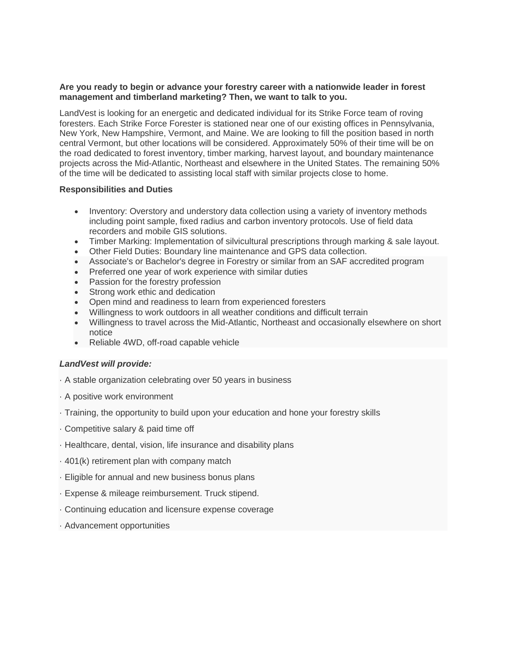#### **Are you ready to begin or advance your forestry career with a nationwide leader in forest management and timberland marketing? Then, we want to talk to you.**

LandVest is looking for an energetic and dedicated individual for its Strike Force team of roving foresters. Each Strike Force Forester is stationed near one of our existing offices in Pennsylvania, New York, New Hampshire, Vermont, and Maine. We are looking to fill the position based in north central Vermont, but other locations will be considered. Approximately 50% of their time will be on the road dedicated to forest inventory, timber marking, harvest layout, and boundary maintenance projects across the Mid-Atlantic, Northeast and elsewhere in the United States. The remaining 50% of the time will be dedicated to assisting local staff with similar projects close to home.

# **Responsibilities and Duties**

- Inventory: Overstory and understory data collection using a variety of inventory methods including point sample, fixed radius and carbon inventory protocols. Use of field data recorders and mobile GIS solutions.
- Timber Marking: Implementation of silvicultural prescriptions through marking & sale layout.
- Other Field Duties: Boundary line maintenance and GPS data collection.
- Associate's or Bachelor's degree in Forestry or similar from an SAF accredited program
- Preferred one year of work experience with similar duties
- Passion for the forestry profession
- Strong work ethic and dedication
- Open mind and readiness to learn from experienced foresters
- Willingness to work outdoors in all weather conditions and difficult terrain
- Willingness to travel across the Mid-Atlantic, Northeast and occasionally elsewhere on short notice
- Reliable 4WD, off-road capable vehicle

# *LandVest will provide:*

- · A stable organization celebrating over 50 years in business
- · A positive work environment
- · Training, the opportunity to build upon your education and hone your forestry skills
- · Competitive salary & paid time off
- · Healthcare, dental, vision, life insurance and disability plans
- · 401(k) retirement plan with company match
- · Eligible for annual and new business bonus plans
- · Expense & mileage reimbursement. Truck stipend.
- · Continuing education and licensure expense coverage
- · Advancement opportunities